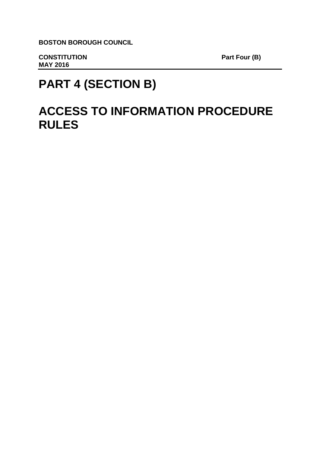**BOSTON BOROUGH COUNCIL**

**CONSTITUTION** Part Four (B) **MAY 2016** 

# **PART 4 (SECTION B)**

# **ACCESS TO INFORMATION PROCEDURE RULES**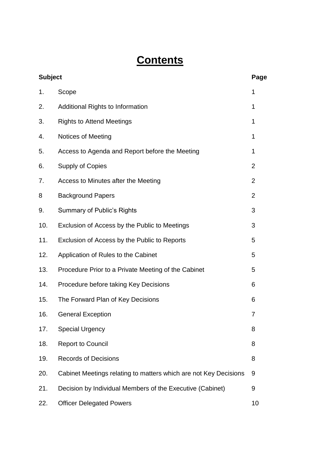# **Contents**

| <b>Subject</b> |                                                                  | Page           |
|----------------|------------------------------------------------------------------|----------------|
| 1.             | Scope                                                            | 1              |
| 2.             | <b>Additional Rights to Information</b>                          | 1              |
| 3.             | <b>Rights to Attend Meetings</b>                                 | 1              |
| 4.             | <b>Notices of Meeting</b>                                        | 1              |
| 5.             | Access to Agenda and Report before the Meeting                   | 1              |
| 6.             | <b>Supply of Copies</b>                                          | $\overline{2}$ |
| 7.             | Access to Minutes after the Meeting                              | $\overline{2}$ |
| 8              | <b>Background Papers</b>                                         | $\overline{2}$ |
| 9.             | <b>Summary of Public's Rights</b>                                | 3              |
| 10.            | Exclusion of Access by the Public to Meetings                    | 3              |
| 11.            | Exclusion of Access by the Public to Reports                     | 5              |
| 12.            | Application of Rules to the Cabinet                              | 5              |
| 13.            | Procedure Prior to a Private Meeting of the Cabinet              | 5              |
| 14.            | Procedure before taking Key Decisions                            | 6              |
| 15.            | The Forward Plan of Key Decisions                                | 6              |
| 16.            | <b>General Exception</b>                                         | 7              |
| 17.            | <b>Special Urgency</b>                                           | 8              |
| 18.            | <b>Report to Council</b>                                         | 8              |
| 19.            | <b>Records of Decisions</b>                                      | 8              |
| 20.            | Cabinet Meetings relating to matters which are not Key Decisions | 9              |
| 21.            | Decision by Individual Members of the Executive (Cabinet)        | 9              |
| 22.            | <b>Officer Delegated Powers</b>                                  | 10             |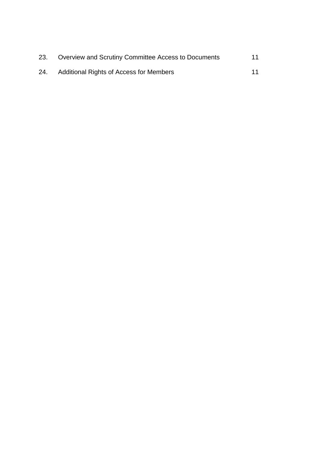| 23. | Overview and Scrutiny Committee Access to Documents | 11 |
|-----|-----------------------------------------------------|----|
| 24. | <b>Additional Rights of Access for Members</b>      | 11 |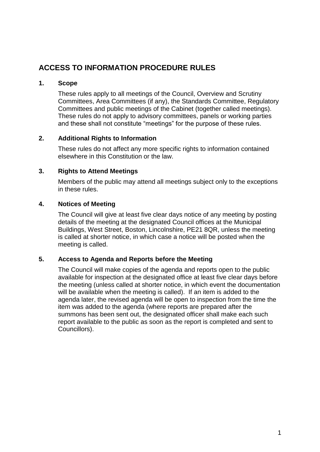# **ACCESS TO INFORMATION PROCEDURE RULES**

# **1. Scope**

These rules apply to all meetings of the Council, Overview and Scrutiny Committees, Area Committees (if any), the Standards Committee, Regulatory Committees and public meetings of the Cabinet (together called meetings). These rules do not apply to advisory committees, panels or working parties and these shall not constitute "meetings" for the purpose of these rules.

# **2. Additional Rights to Information**

These rules do not affect any more specific rights to information contained elsewhere in this Constitution or the law.

# **3. Rights to Attend Meetings**

Members of the public may attend all meetings subject only to the exceptions in these rules.

# **4. Notices of Meeting**

The Council will give at least five clear days notice of any meeting by posting details of the meeting at the designated Council offices at the Municipal Buildings, West Street, Boston, Lincolnshire, PE21 8QR, unless the meeting is called at shorter notice, in which case a notice will be posted when the meeting is called.

# **5. Access to Agenda and Reports before the Meeting**

The Council will make copies of the agenda and reports open to the public available for inspection at the designated office at least five clear days before the meeting (unless called at shorter notice, in which event the documentation will be available when the meeting is called). If an item is added to the agenda later, the revised agenda will be open to inspection from the time the item was added to the agenda (where reports are prepared after the summons has been sent out, the designated officer shall make each such report available to the public as soon as the report is completed and sent to Councillors).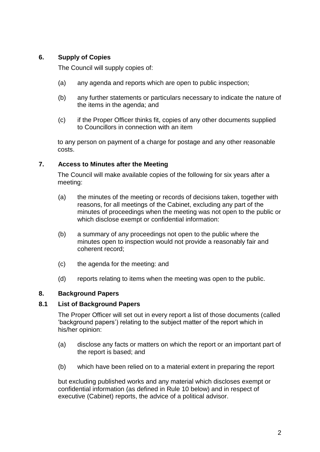# **6. Supply of Copies**

The Council will supply copies of:

- (a) any agenda and reports which are open to public inspection;
- (b) any further statements or particulars necessary to indicate the nature of the items in the agenda; and
- (c) if the Proper Officer thinks fit, copies of any other documents supplied to Councillors in connection with an item

to any person on payment of a charge for postage and any other reasonable costs.

# **7. Access to Minutes after the Meeting**

The Council will make available copies of the following for six years after a meeting:

- (a) the minutes of the meeting or records of decisions taken, together with reasons, for all meetings of the Cabinet, excluding any part of the minutes of proceedings when the meeting was not open to the public or which disclose exempt or confidential information:
- (b) a summary of any proceedings not open to the public where the minutes open to inspection would not provide a reasonably fair and coherent record;
- (c) the agenda for the meeting: and
- (d) reports relating to items when the meeting was open to the public.

# **8. Background Papers**

# **8.1 List of Background Papers**

The Proper Officer will set out in every report a list of those documents (called 'background papers') relating to the subject matter of the report which in his/her opinion:

- (a) disclose any facts or matters on which the report or an important part of the report is based; and
- (b) which have been relied on to a material extent in preparing the report

but excluding published works and any material which discloses exempt or confidential information (as defined in Rule 10 below) and in respect of executive (Cabinet) reports, the advice of a political advisor.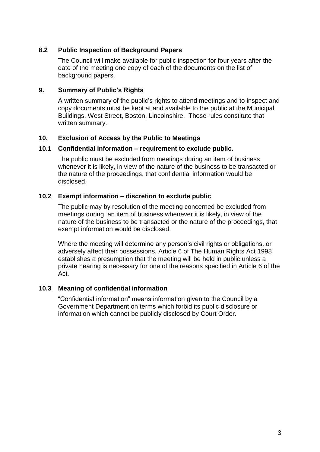# **8.2 Public Inspection of Background Papers**

The Council will make available for public inspection for four years after the date of the meeting one copy of each of the documents on the list of background papers.

# **9. Summary of Public's Rights**

A written summary of the public's rights to attend meetings and to inspect and copy documents must be kept at and available to the public at the Municipal Buildings, West Street, Boston, Lincolnshire. These rules constitute that written summary.

#### **10. Exclusion of Access by the Public to Meetings**

#### **10.1 Confidential information – requirement to exclude public.**

The public must be excluded from meetings during an item of business whenever it is likely, in view of the nature of the business to be transacted or the nature of the proceedings, that confidential information would be disclosed.

#### **10.2 Exempt information – discretion to exclude public**

The public may by resolution of the meeting concerned be excluded from meetings during an item of business whenever it is likely, in view of the nature of the business to be transacted or the nature of the proceedings, that exempt information would be disclosed.

Where the meeting will determine any person's civil rights or obligations, or adversely affect their possessions, Article 6 of The Human Rights Act 1998 establishes a presumption that the meeting will be held in public unless a private hearing is necessary for one of the reasons specified in Article 6 of the Act.

# **10.3 Meaning of confidential information**

"Confidential information" means information given to the Council by a Government Department on terms which forbid its public disclosure or information which cannot be publicly disclosed by Court Order.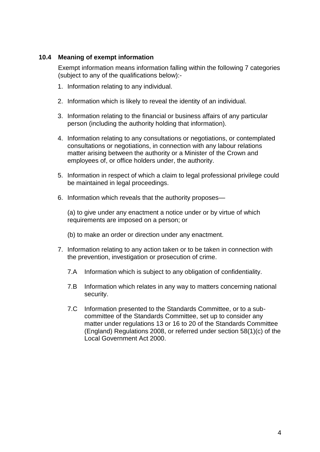# **10.4 Meaning of exempt information**

Exempt information means information falling within the following 7 categories (subject to any of the qualifications below):-

- 1. Information relating to any individual.
- 2. Information which is likely to reveal the identity of an individual.
- 3. Information relating to the financial or business affairs of any particular person (including the authority holding that information).
- 4. Information relating to any consultations or negotiations, or contemplated consultations or negotiations, in connection with any labour relations matter arising between the authority or a Minister of the Crown and employees of, or office holders under, the authority.
- 5. Information in respect of which a claim to legal professional privilege could be maintained in legal proceedings.
- 6. Information which reveals that the authority proposes—

(a) to give under any enactment a notice under or by virtue of which requirements are imposed on a person; or

- (b) to make an order or direction under any enactment.
- 7. Information relating to any action taken or to be taken in connection with the prevention, investigation or prosecution of crime.
	- 7.A Information which is subject to any obligation of confidentiality.
	- 7.B Information which relates in any way to matters concerning national security.
	- 7.C Information presented to the Standards Committee, or to a subcommittee of the Standards Committee, set up to consider any matter under regulations 13 or 16 to 20 of the Standards Committee (England) Regulations 2008, or referred under section 58(1)(c) of the Local Government Act 2000.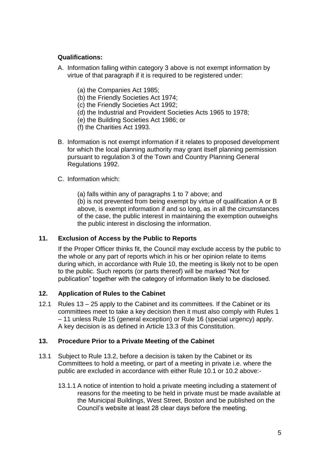# **Qualifications:**

- A. Information falling within category 3 above is not exempt information by virtue of that paragraph if it is required to be registered under:
	- (a) the Companies Act 1985;
	- (b) the Friendly Societies Act 1974;
	- (c) the Friendly Societies Act 1992;
	- (d) the Industrial and Provident Societies Acts 1965 to 1978;
	- (e) the Building Societies Act 1986; or
	- (f) the Charities Act 1993.
- B. Information is not exempt information if it relates to proposed development for which the local planning authority may grant itself planning permission pursuant to regulation 3 of the Town and Country Planning General Regulations 1992.

#### C. Information which:

(a) falls within any of paragraphs 1 to 7 above; and

(b) is not prevented from being exempt by virtue of qualification A or B above, is exempt information if and so long, as in all the circumstances of the case, the public interest in maintaining the exemption outweighs the public interest in disclosing the information.

# **11. Exclusion of Access by the Public to Reports**

If the Proper Officer thinks fit, the Council may exclude access by the public to the whole or any part of reports which in his or her opinion relate to items during which, in accordance with Rule 10, the meeting is likely not to be open to the public. Such reports (or parts thereof) will be marked "Not for publication" together with the category of information likely to be disclosed.

# **12. Application of Rules to the Cabinet**

12.1 Rules 13 – 25 apply to the Cabinet and its committees. If the Cabinet or its committees meet to take a key decision then it must also comply with Rules 1 – 11 unless Rule 15 (general exception) or Rule 16 (special urgency) apply. A key decision is as defined in Article 13.3 of this Constitution.

#### **13. Procedure Prior to a Private Meeting of the Cabinet**

- 13.1 Subject to Rule 13.2, before a decision is taken by the Cabinet or its Committees to hold a meeting, or part of a meeting in private i.e. where the public are excluded in accordance with either Rule 10.1 or 10.2 above:-
	- 13.1.1 A notice of intention to hold a private meeting including a statement of reasons for the meeting to be held in private must be made available at the Municipal Buildings, West Street, Boston and be published on the Council's website at least 28 clear days before the meeting.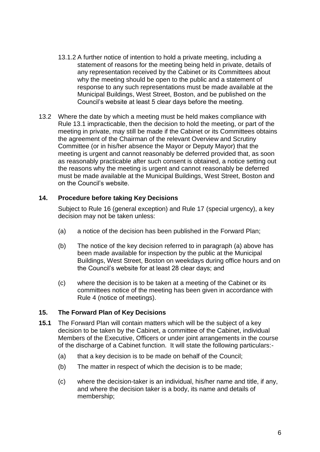- 13.1.2 A further notice of intention to hold a private meeting, including a statement of reasons for the meeting being held in private, details of any representation received by the Cabinet or its Committees about why the meeting should be open to the public and a statement of response to any such representations must be made available at the Municipal Buildings, West Street, Boston, and be published on the Council's website at least 5 clear days before the meeting.
- 13.2 Where the date by which a meeting must be held makes compliance with Rule 13.1 impracticable, then the decision to hold the meeting, or part of the meeting in private, may still be made if the Cabinet or its Committees obtains the agreement of the Chairman of the relevant Overview and Scrutiny Committee (or in his/her absence the Mayor or Deputy Mayor) that the meeting is urgent and cannot reasonably be deferred provided that, as soon as reasonably practicable after such consent is obtained, a notice setting out the reasons why the meeting is urgent and cannot reasonably be deferred must be made available at the Municipal Buildings, West Street, Boston and on the Council's website.

# **14. Procedure before taking Key Decisions**

Subject to Rule 16 (general exception) and Rule 17 (special urgency), a key decision may not be taken unless:

- (a) a notice of the decision has been published in the Forward Plan;
- (b) The notice of the key decision referred to in paragraph (a) above has been made available for inspection by the public at the Municipal Buildings, West Street, Boston on weekdays during office hours and on the Council's website for at least 28 clear days; and
- (c) where the decision is to be taken at a meeting of the Cabinet or its committees notice of the meeting has been given in accordance with Rule 4 (notice of meetings).

#### **15. The Forward Plan of Key Decisions**

- **15.1** The Forward Plan will contain matters which will be the subject of a key decision to be taken by the Cabinet, a committee of the Cabinet, individual Members of the Executive, Officers or under joint arrangements in the course of the discharge of a Cabinet function. It will state the following particulars:-
	- (a) that a key decision is to be made on behalf of the Council;
	- (b) The matter in respect of which the decision is to be made;
	- (c) where the decision-taker is an individual, his/her name and title, if any, and where the decision taker is a body, its name and details of membership;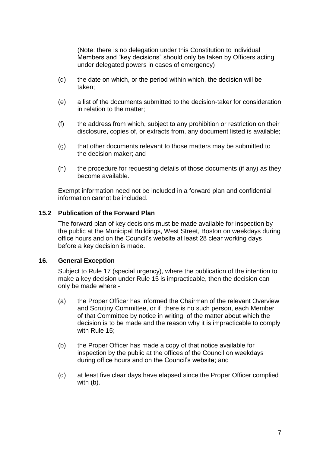(Note: there is no delegation under this Constitution to individual Members and "key decisions" should only be taken by Officers acting under delegated powers in cases of emergency)

- (d) the date on which, or the period within which, the decision will be taken;
- (e) a list of the documents submitted to the decision-taker for consideration in relation to the matter;
- (f) the address from which, subject to any prohibition or restriction on their disclosure, copies of, or extracts from, any document listed is available;
- (g) that other documents relevant to those matters may be submitted to the decision maker; and
- (h) the procedure for requesting details of those documents (if any) as they become available.

Exempt information need not be included in a forward plan and confidential information cannot be included.

#### **15.2 Publication of the Forward Plan**

The forward plan of key decisions must be made available for inspection by the public at the Municipal Buildings, West Street, Boston on weekdays during office hours and on the Council's website at least 28 clear working days before a key decision is made.

#### **16. General Exception**

Subject to Rule 17 (special urgency), where the publication of the intention to make a key decision under Rule 15 is impracticable, then the decision can only be made where:-

- (a) the Proper Officer has informed the Chairman of the relevant Overview and Scrutiny Committee, or if there is no such person, each Member of that Committee by notice in writing, of the matter about which the decision is to be made and the reason why it is impracticable to comply with Rule 15;
- (b) the Proper Officer has made a copy of that notice available for inspection by the public at the offices of the Council on weekdays during office hours and on the Council's website; and
- (d) at least five clear days have elapsed since the Proper Officer complied with (b).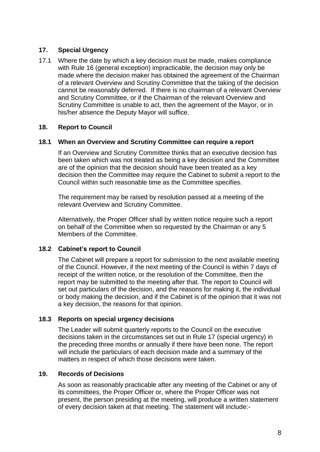# **17. Special Urgency**

17.1 Where the date by which a key decision must be made, makes compliance with Rule 16 (general exception) impracticable, the decision may only be made where the decision maker has obtained the agreement of the Chairman of a relevant Overview and Scrutiny Committee that the taking of the decision cannot be reasonably deferred. If there is no chairman of a relevant Overview and Scrutiny Committee, or if the Chairman of the relevant Overview and Scrutiny Committee is unable to act, then the agreement of the Mayor, or in his/her absence the Deputy Mayor will suffice.

#### **18. Report to Council**

#### **18.1 When an Overview and Scrutiny Committee can require a report**

If an Overview and Scrutiny Committee thinks that an executive decision has been taken which was not treated as being a key decision and the Committee are of the opinion that the decision should have been treated as a key decision then the Committee may require the Cabinet to submit a report to the Council within such reasonable time as the Committee specifies.

The requirement may be raised by resolution passed at a meeting of the relevant Overview and Scrutiny Committee.

Alternatively, the Proper Officer shall by written notice require such a report on behalf of the Committee when so requested by the Chairman or any 5 Members of the Committee.

#### **18.2 Cabinet's report to Council**

The Cabinet will prepare a report for submission to the next available meeting of the Council. However, if the next meeting of the Council is within 7 days of receipt of the written notice, or the resolution of the Committee, then the report may be submitted to the meeting after that. The report to Council will set out particulars of the decision, and the reasons for making it, the individual or body making the decision, and if the Cabinet is of the opinion that it was not a key decision, the reasons for that opinion.

#### **18.3 Reports on special urgency decisions**

The Leader will submit quarterly reports to the Council on the executive decisions taken in the circumstances set out in Rule 17 (special urgency) in the preceding three months or annually if there have been none. The report will include the particulars of each decision made and a summary of the matters in respect of which those decisions were taken.

#### **19. Records of Decisions**

As soon as reasonably practicable after any meeting of the Cabinet or any of its committees, the Proper Officer or, where the Proper Officer was not present, the person presiding at the meeting, will produce a written statement of every decision taken at that meeting. The statement will include:-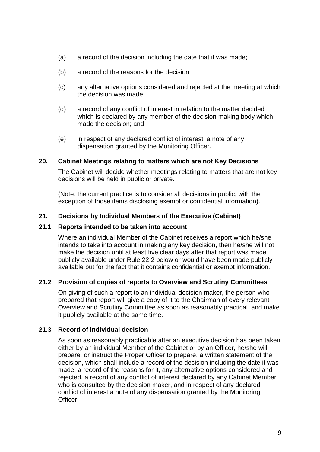- (a) a record of the decision including the date that it was made;
- (b) a record of the reasons for the decision
- (c) any alternative options considered and rejected at the meeting at which the decision was made;
- (d) a record of any conflict of interest in relation to the matter decided which is declared by any member of the decision making body which made the decision; and
- (e) in respect of any declared conflict of interest, a note of any dispensation granted by the Monitoring Officer.

#### **20. Cabinet Meetings relating to matters which are not Key Decisions**

The Cabinet will decide whether meetings relating to matters that are not key decisions will be held in public or private.

(Note: the current practice is to consider all decisions in public, with the exception of those items disclosing exempt or confidential information).

#### **21. Decisions by Individual Members of the Executive (Cabinet)**

#### **21.1 Reports intended to be taken into account**

Where an individual Member of the Cabinet receives a report which he/she intends to take into account in making any key decision, then he/she will not make the decision until at least five clear days after that report was made publicly available under Rule 22.2 below or would have been made publicly available but for the fact that it contains confidential or exempt information.

#### **21.2 Provision of copies of reports to Overview and Scrutiny Committees**

On giving of such a report to an individual decision maker, the person who prepared that report will give a copy of it to the Chairman of every relevant Overview and Scrutiny Committee as soon as reasonably practical, and make it publicly available at the same time.

#### **21.3 Record of individual decision**

As soon as reasonably practicable after an executive decision has been taken either by an individual Member of the Cabinet or by an Officer, he/she will prepare, or instruct the Proper Officer to prepare, a written statement of the decision, which shall include a record of the decision including the date it was made, a record of the reasons for it, any alternative options considered and rejected, a record of any conflict of interest declared by any Cabinet Member who is consulted by the decision maker, and in respect of any declared conflict of interest a note of any dispensation granted by the Monitoring Officer.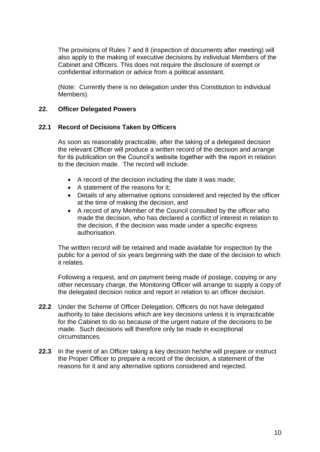The provisions of Rules 7 and 8 (inspection of documents after meeting) will also apply to the making of executive decisions by individual Members of the Cabinet and Officers. This does not require the disclosure of exempt or confidential information or advice from a political assistant.

(Note: Currently there is no delegation under this Constitution to individual Members).

#### **22. Officer Delegated Powers**

# **22.1 Record of Decisions Taken by Officers**

As soon as reasonably practicable, after the taking of a delegated decision the relevant Officer will produce a written record of the decision and arrange for its publication on the Council's website together with the report in relation to the decision made. The record will include:

- A record of the decision including the date it was made;
- A statement of the reasons for it;
- Details of any alternative options considered and rejected by the officer at the time of making the decision, and
- A record of any Member of the Council consulted by the officer who made the decision, who has declared a conflict of interest in relation to the decision, if the decision was made under a specific express authorisation.

The written record will be retained and made available for inspection by the public for a period of six years beginning with the date of the decision to which it relates.

Following a request, and on payment being made of postage, copying or any other necessary charge, the Monitoring Officer will arrange to supply a copy of the delegated decision notice and report in relation to an officer decision.

- **22.2** Under the Scheme of Officer Delegation, Officers do not have delegated authority to take decisions which are key decisions unless it is impracticable for the Cabinet to do so because of the urgent nature of the decisions to be made. Such decisions will therefore only be made in exceptional circumstances.
- **22.3** In the event of an Officer taking a key decision he/she will prepare or instruct the Proper Officer to prepare a record of the decision, a statement of the reasons for it and any alternative options considered and rejected.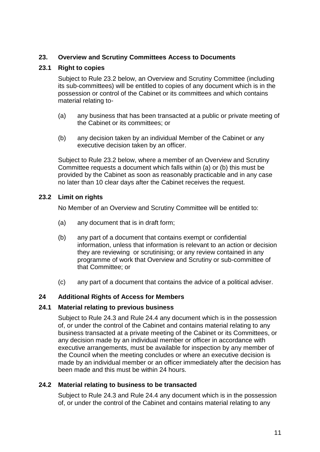# **23. Overview and Scrutiny Committees Access to Documents**

# **23.1 Right to copies**

Subject to Rule 23.2 below, an Overview and Scrutiny Committee (including its sub-committees) will be entitled to copies of any document which is in the possession or control of the Cabinet or its committees and which contains material relating to-

- (a) any business that has been transacted at a public or private meeting of the Cabinet or its committees; or
- (b) any decision taken by an individual Member of the Cabinet or any executive decision taken by an officer.

Subject to Rule 23.2 below, where a member of an Overview and Scrutiny Committee requests a document which falls within (a) or (b) this must be provided by the Cabinet as soon as reasonably practicable and in any case no later than 10 clear days after the Cabinet receives the request.

# **23.2 Limit on rights**

No Member of an Overview and Scrutiny Committee will be entitled to:

- (a) any document that is in draft form;
- (b) any part of a document that contains exempt or confidential information, unless that information is relevant to an action or decision they are reviewing or scrutinising; or any review contained in any programme of work that Overview and Scrutiny or sub-committee of that Committee; or
- (c) any part of a document that contains the advice of a political adviser.

#### **24 Additional Rights of Access for Members**

#### **24.1 Material relating to previous business**

Subject to Rule 24.3 and Rule 24.4 any document which is in the possession of, or under the control of the Cabinet and contains material relating to any business transacted at a private meeting of the Cabinet or its Committees, or any decision made by an individual member or officer in accordance with executive arrangements, must be available for inspection by any member of the Council when the meeting concludes or where an executive decision is made by an individual member or an officer immediately after the decision has been made and this must be within 24 hours.

#### **24.2 Material relating to business to be transacted**

Subject to Rule 24.3 and Rule 24.4 any document which is in the possession of, or under the control of the Cabinet and contains material relating to any